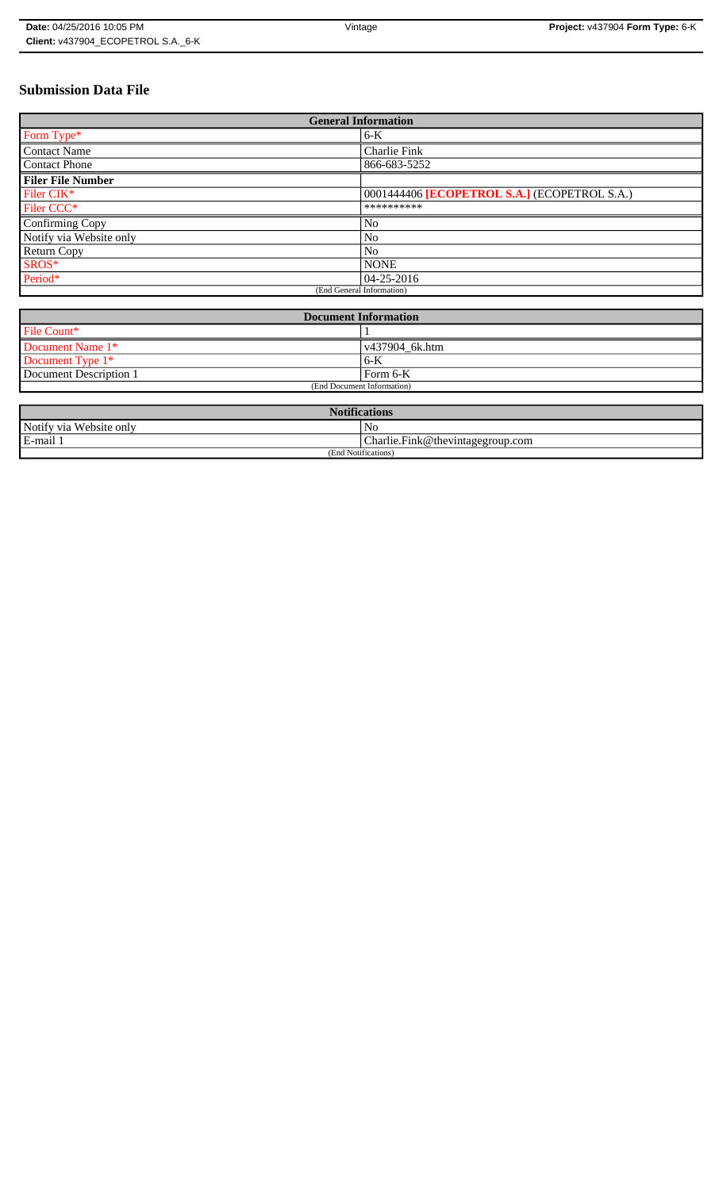# **Submission Data File**

| <b>General Information</b> |                                              |
|----------------------------|----------------------------------------------|
| Form Type*                 | $6-K$                                        |
| <b>Contact Name</b>        | <b>Charlie Fink</b>                          |
| <b>Contact Phone</b>       | 866-683-5252                                 |
| <b>Filer File Number</b>   |                                              |
| Filer CIK*                 | 0001444406 [ECOPETROL S.A.] (ECOPETROL S.A.) |
| Filer CCC <sup>*</sup>     | **********                                   |
| Confirming Copy            | No                                           |
| Notify via Website only    | No                                           |
| <b>Return Copy</b>         | N <sub>o</sub>                               |
| SROS*                      | <b>NONE</b>                                  |
| Period*                    | $04 - 25 - 2016$                             |
| (End General Information)  |                                              |

| <b>Document Information</b> |                        |
|-----------------------------|------------------------|
| File Count*                 |                        |
| Document Name 1*            | $\sqrt{437904}$ 6k.htm |
| Document Type 1*            | 6-K                    |
| Document Description 1      | Form 6-K               |
| (End Document Information)  |                        |

| <b>Notifications</b>    |                                  |
|-------------------------|----------------------------------|
| Notify via Website only | No                               |
| E-mail <sup>1</sup>     | Charlie.Fink@thevintagegroup.com |
| (End Notifications)     |                                  |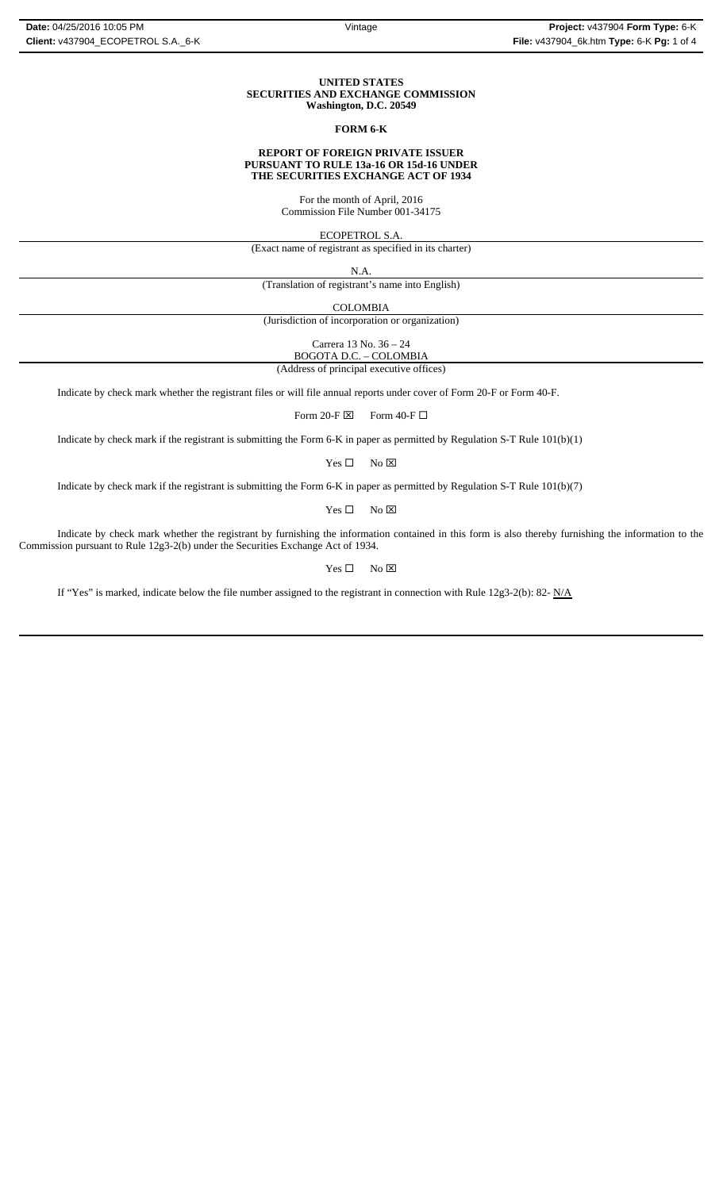#### **UNITED STATES SECURITIES AND EXCHANGE COMMISSION Washington, D.C. 20549**

## **FORM 6-K**

#### **REPORT OF FOREIGN PRIVATE ISSUER PURSUANT TO RULE 13a-16 OR 15d-16 UNDER THE SECURITIES EXCHANGE ACT OF 1934**

For the month of April, 2016 Commission File Number 001-34175

ECOPETROL S.A.

(Exact name of registrant as specified in its charter)

N.A.

(Translation of registrant's name into English)

COLOMBIA

(Jurisdiction of incorporation or organization)

Carrera 13 No. 36 – 24

BOGOTA D.C. – COLOMBIA (Address of principal executive offices)

Indicate by check mark whether the registrant files or will file annual reports under cover of Form 20-F or Form 40-F.

Form 20-F  $\boxtimes$  Form 40-F  $\Box$ 

Indicate by check mark if the registrant is submitting the Form 6-K in paper as permitted by Regulation S-T Rule 101(b)(1)

 $Yes \Box$  No  $\boxtimes$ 

Indicate by check mark if the registrant is submitting the Form 6-K in paper as permitted by Regulation S-T Rule 101(b)(7)

 $Yes \Box$  No  $\boxtimes$ 

Indicate by check mark whether the registrant by furnishing the information contained in this form is also thereby furnishing the information to the Commission pursuant to Rule 12g3-2(b) under the Securities Exchange Act of 1934.

 $Yes \Box$  No  $\boxtimes$ 

If "Yes" is marked, indicate below the file number assigned to the registrant in connection with Rule 12g3-2(b): 82-  $N/A$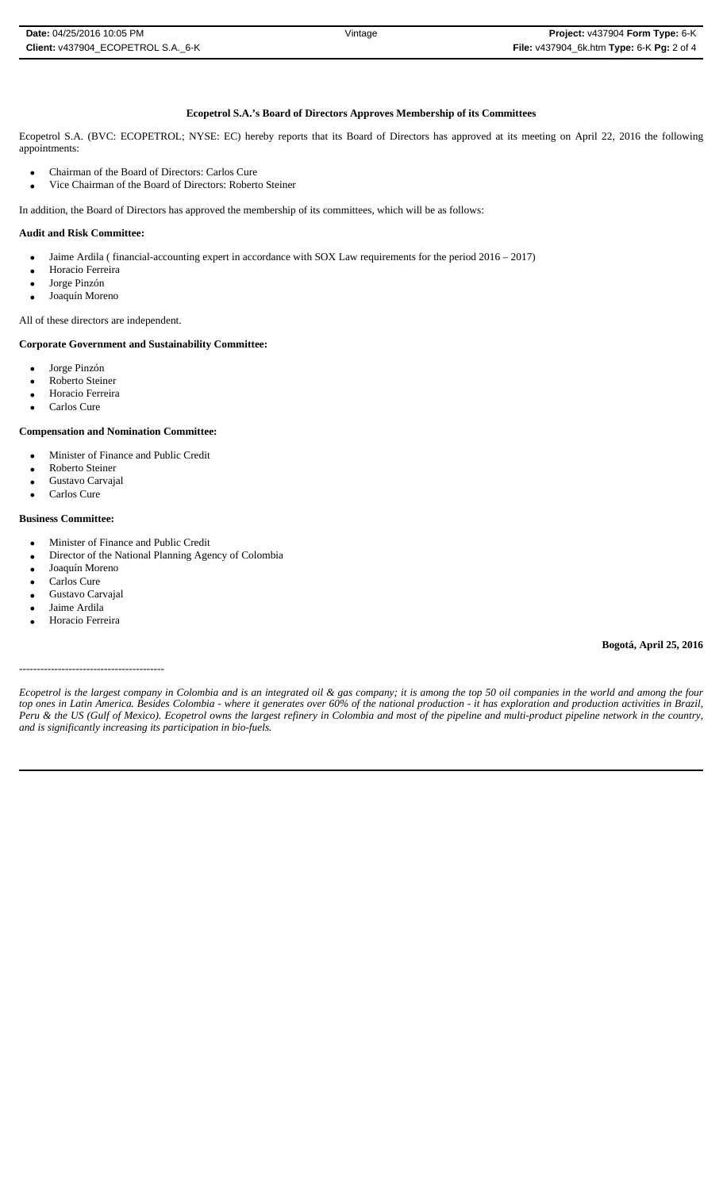# **Ecopetrol S.A.'s Board of Directors Approves Membership of its Committees**

Ecopetrol S.A. (BVC: ECOPETROL; NYSE: EC) hereby reports that its Board of Directors has approved at its meeting on April 22, 2016 the following appointments:

- Chairman of the Board of Directors: Carlos Cure
- Vice Chairman of the Board of Directors: Roberto Steiner

In addition, the Board of Directors has approved the membership of its committees, which will be as follows:

# **Audit and Risk Committee:**

- Jaime Ardila ( financial-accounting expert in accordance with SOX Law requirements for the period 2016 2017)
- Horacio Ferreira
- Jorge Pinzón
- Joaquín Moreno

#### All of these directors are independent.

# **Corporate Government and Sustainability Committee:**

- Jorge Pinzón
- Roberto Steiner
- Horacio Ferreira
- Carlos Cure

### **Compensation and Nomination Committee:**

- Minister of Finance and Public Credit
- Roberto Steiner
- Gustavo Carvajal
- Carlos Cure

#### **Business Committee:**

- Minister of Finance and Public Credit
- Director of the National Planning Agency of Colombia
- Joaquín Moreno
- Carlos Cure
- Gustavo Carvajal
- Jaime Ardila
- Horacio Ferreira

-----------------------------------------

**Bogotá, April 25, 2016**

*Ecopetrol is the largest company in Colombia and is an integrated oil & gas company; it is among the top 50 oil companies in the world and among the four top ones in Latin America. Besides Colombia - where it generates over 60% of the national production - it has exploration and production activities in Brazil, Peru & the US (Gulf of Mexico). Ecopetrol owns the largest refinery in Colombia and most of the pipeline and multi-product pipeline network in the country, and is significantly increasing its participation in bio-fuels.*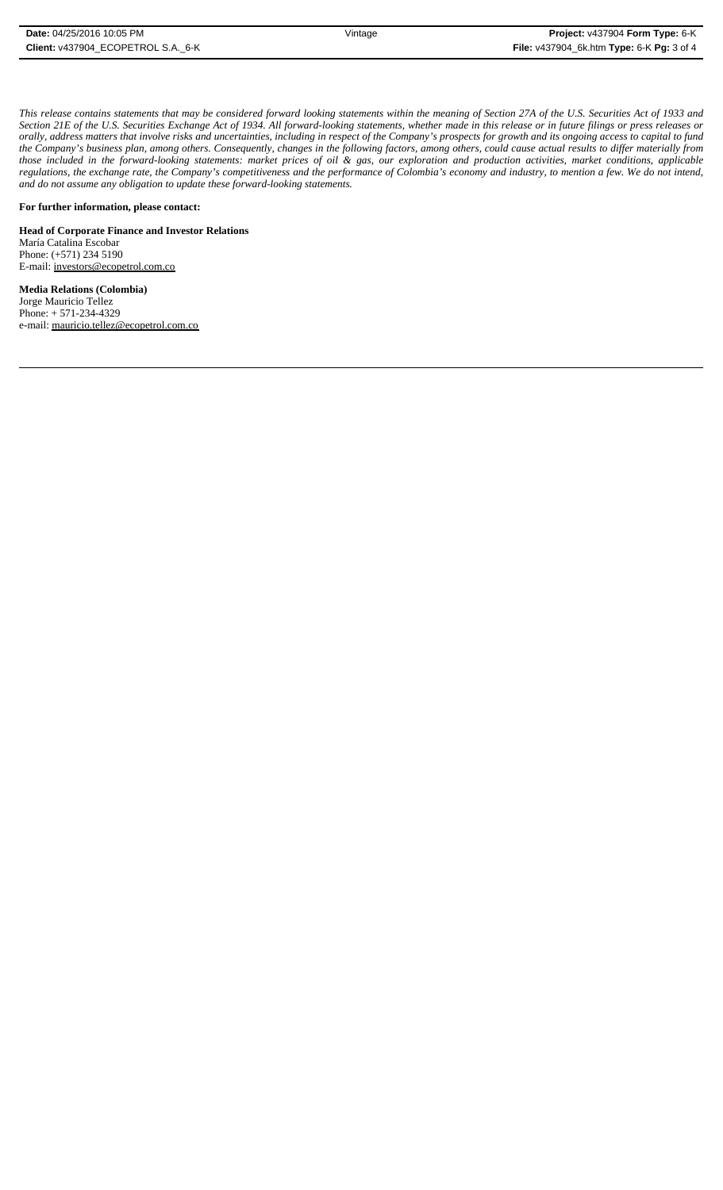*This release contains statements that may be considered forward looking statements within the meaning of Section 27A of the U.S. Securities Act of 1933 and Section 21E of the U.S. Securities Exchange Act of 1934. All forward-looking statements, whether made in this release or in future filings or press releases or orally, address matters that involve risks and uncertainties, including in respect of the Company's prospects for growth and its ongoing access to capital to fund the Company's business plan, among others. Consequently, changes in the following factors, among others, could cause actual results to differ materially from those included in the forward-looking statements: market prices of oil & gas, our exploration and production activities, market conditions, applicable regulations, the exchange rate, the Company's competitiveness and the performance of Colombia's economy and industry, to mention a few. We do not intend, and do not assume any obligation to update these forward-looking statements.*

### **For further information, please contact:**

**Head of Corporate Finance and Investor Relations** María Catalina Escobar Phone: (+571) 234 5190 E-mail: investors@ecopetrol.com.co

**Media Relations (Colombia)**  Jorge Mauricio Tellez Phone: + 571-234-4329 e-mail: mauricio.tellez@ecopetrol.com.co